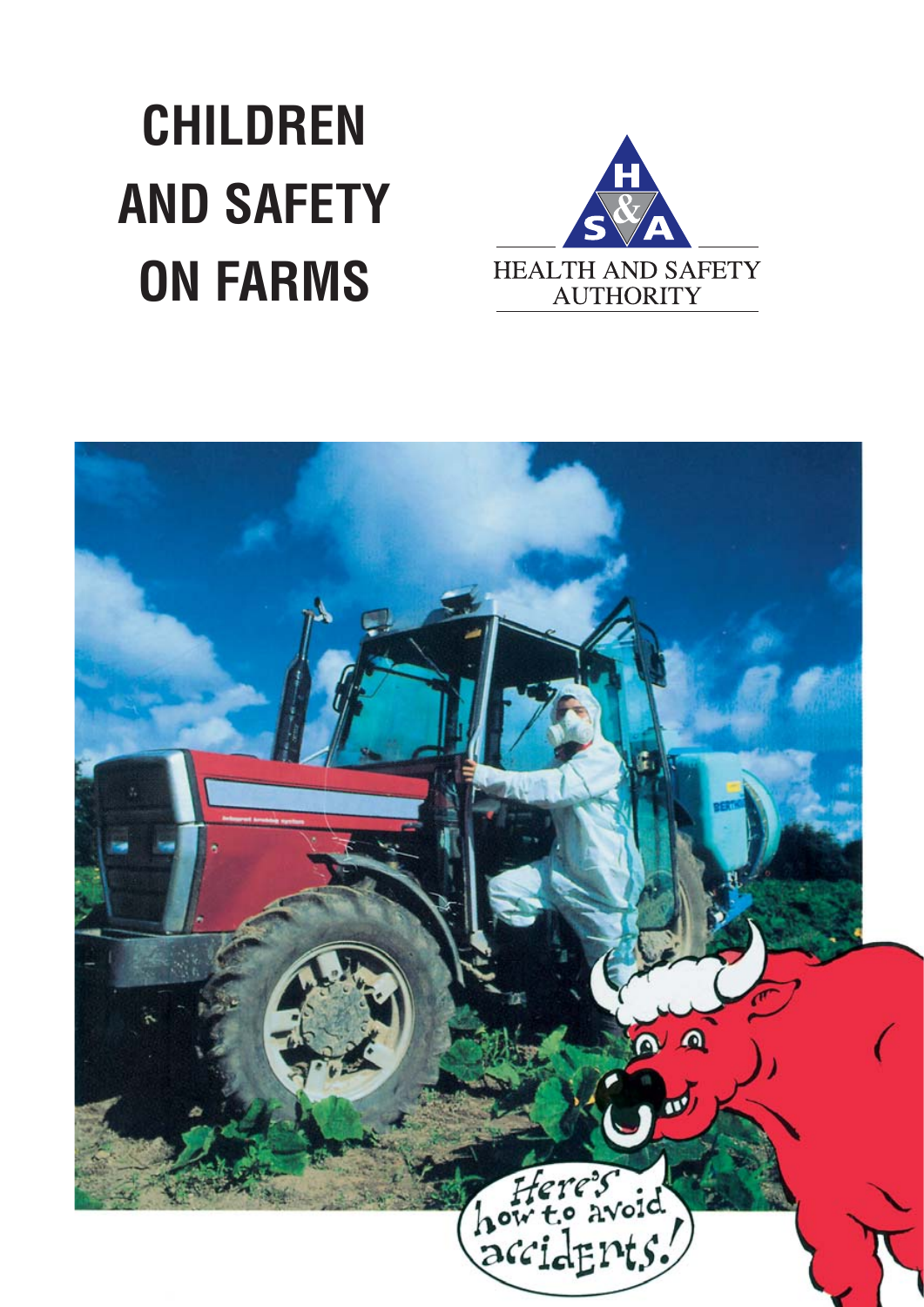## **CHILDREN AND SAFETY ON FARMS**



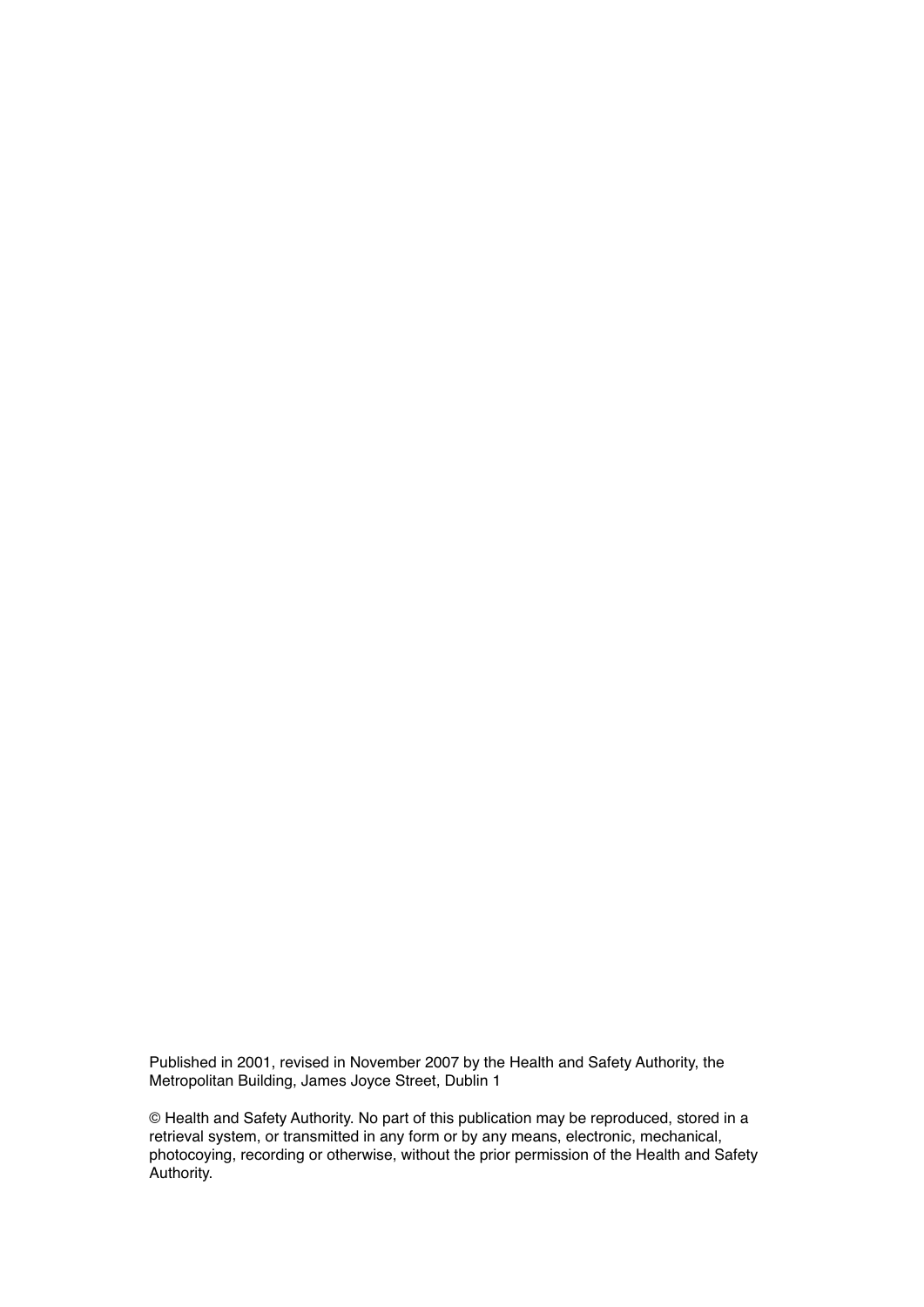Published in 2001, revised in November 2007 by the Health and Safety Authority, the Metropolitan Building, James Joyce Street, Dublin 1

© Health and Safety Authority. No part of this publication may be reproduced, stored in a retrieval system, or transmitted in any form or by any means, electronic, mechanical, photocoying, recording or otherwise, without the prior permission of the Health and Safety Authority.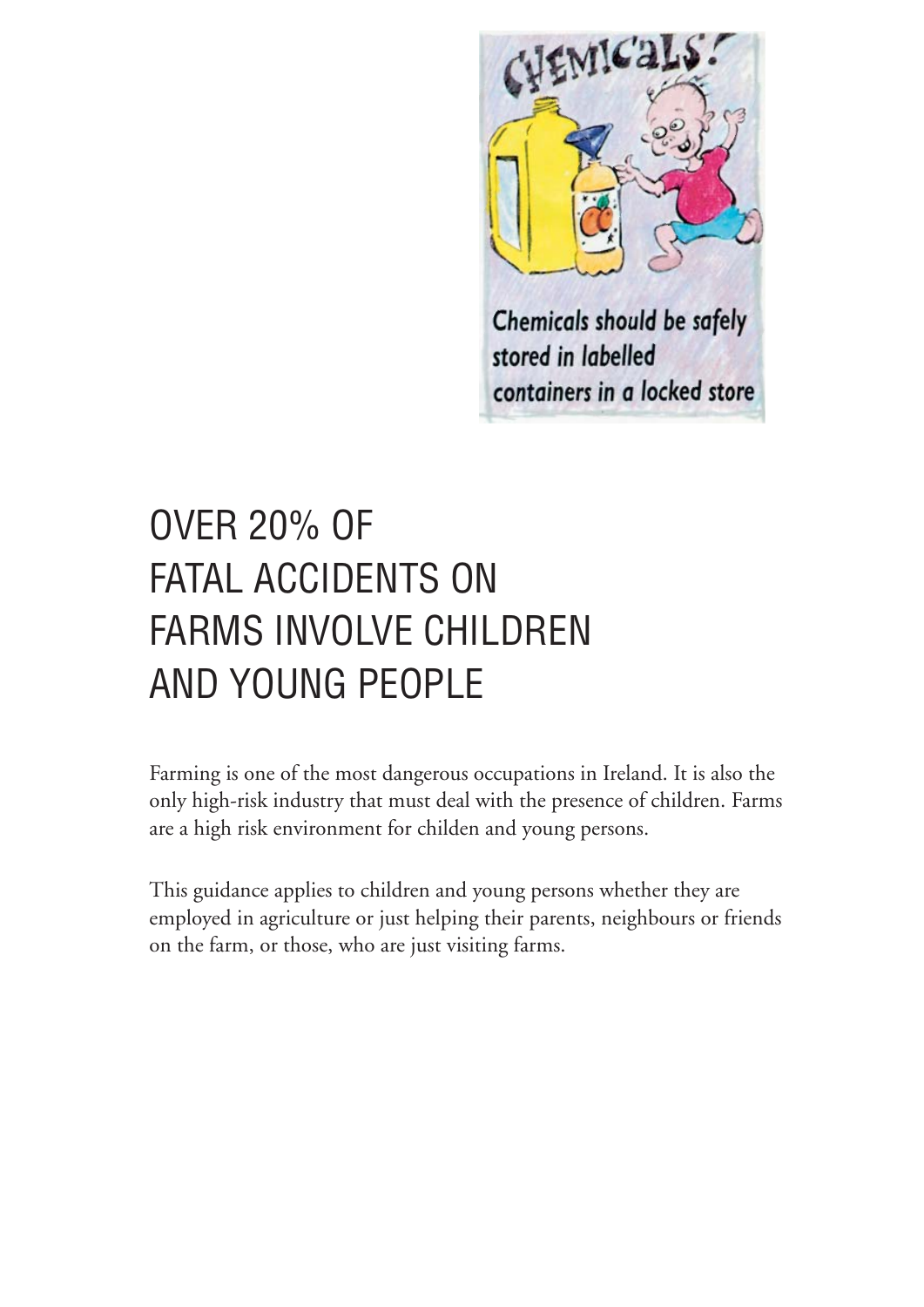

stored in labelled containers in a locked store

## OVER 20% OF FATAL ACCIDENTS ON FARMS INVOLVE CHILDREN AND YOUNG PEOPLE

Farming is one of the most dangerous occupations in Ireland. It is also the only high-risk industry that must deal with the presence of children. Farms are a high risk environment for childen and young persons.

This guidance applies to children and young persons whether they are employed in agriculture or just helping their parents, neighbours or friends on the farm, or those, who are just visiting farms.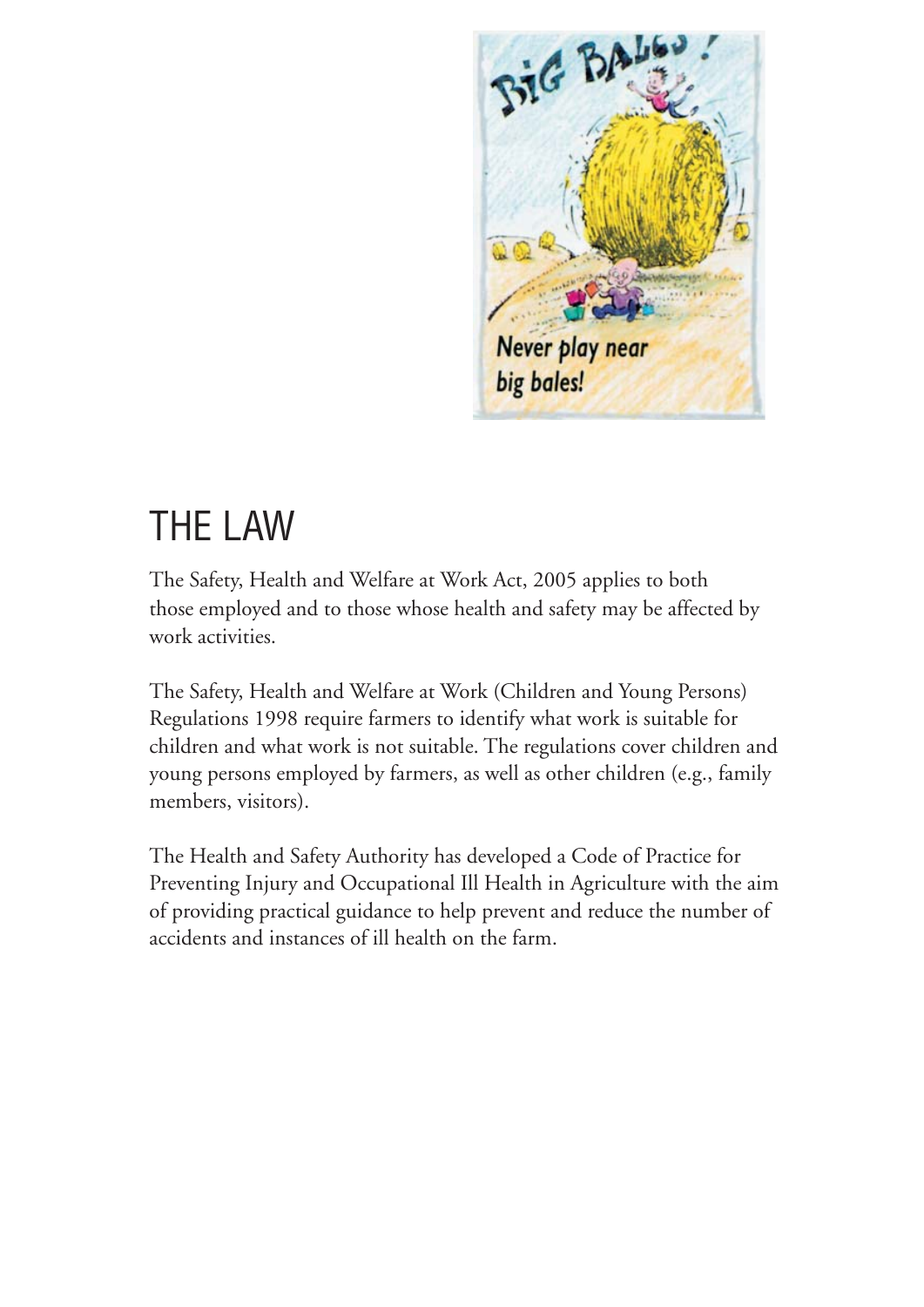

## THE LAW

The Safety, Health and Welfare at Work Act, 2005 applies to both those employed and to those whose health and safety may be affected by work activities.

The Safety, Health and Welfare at Work (Children and Young Persons) Regulations 1998 require farmers to identify what work is suitable for children and what work is not suitable. The regulations cover children and young persons employed by farmers, as well as other children (e.g., family members, visitors).

The Health and Safety Authority has developed a Code of Practice for Preventing Injury and Occupational Ill Health in Agriculture with the aim of providing practical guidance to help prevent and reduce the number of accidents and instances of ill health on the farm.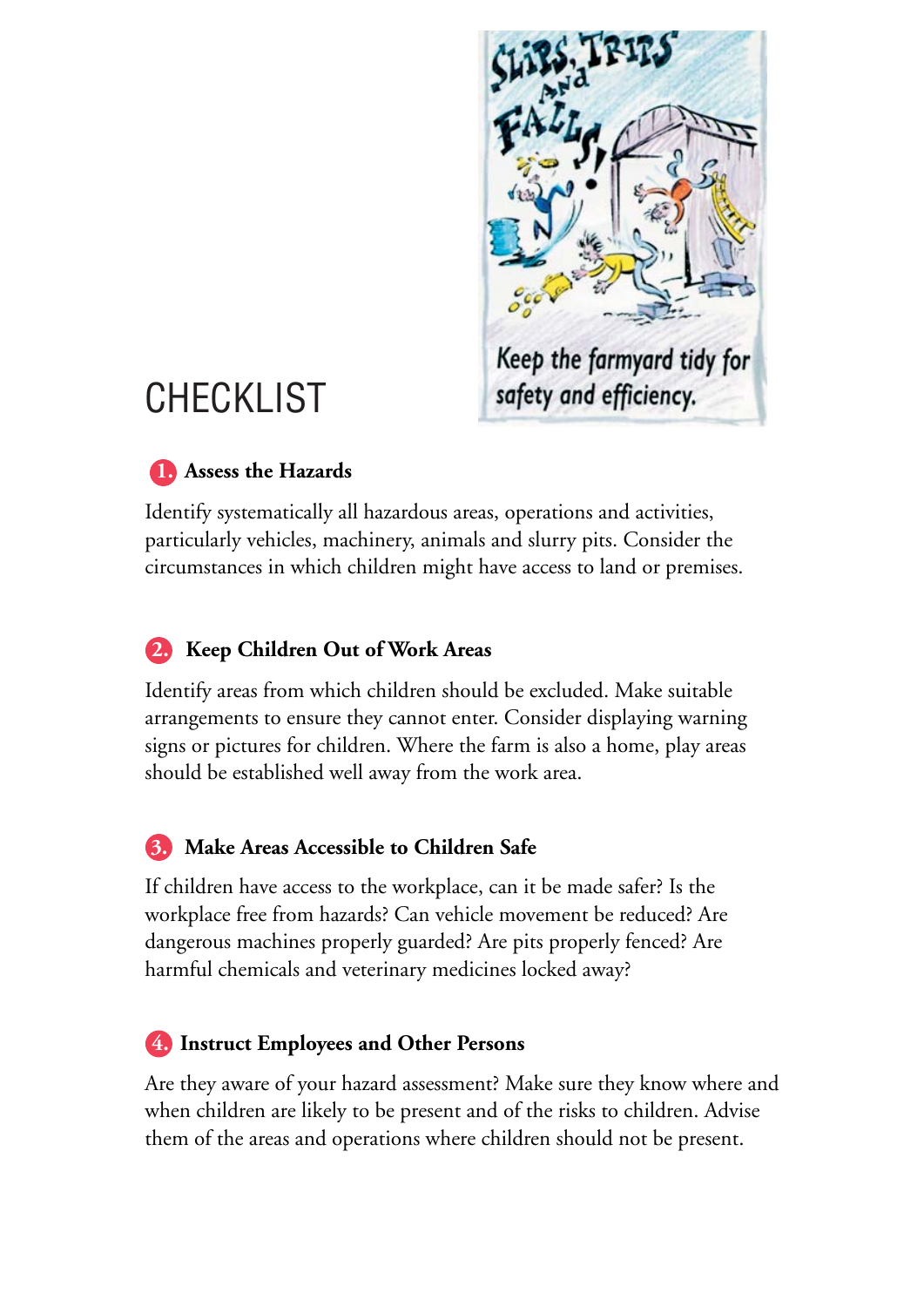

## **CHECKLIST**

#### **1.** Assess the Hazards

Identify systematically all hazardous areas, operations and activities, particularly vehicles, machinery, animals and slurry pits. Consider the circumstances in which children might have access to land or premises.

#### **2. Keep Children Out of Work Areas**

Identify areas from which children should be excluded. Make suitable arrangements to ensure they cannot enter. Consider displaying warning signs or pictures for children. Where the farm is also a home, play areas should be established well away from the work area.

#### **3. Make Areas Accessible to Children Safe**

If children have access to the workplace, can it be made safer? Is the workplace free from hazards? Can vehicle movement be reduced? Are dangerous machines properly guarded? Are pits properly fenced? Are harmful chemicals and veterinary medicines locked away?

#### **4. Instruct Employees and Other Persons**

Are they aware of your hazard assessment? Make sure they know where and when children are likely to be present and of the risks to children. Advise them of the areas and operations where children should not be present.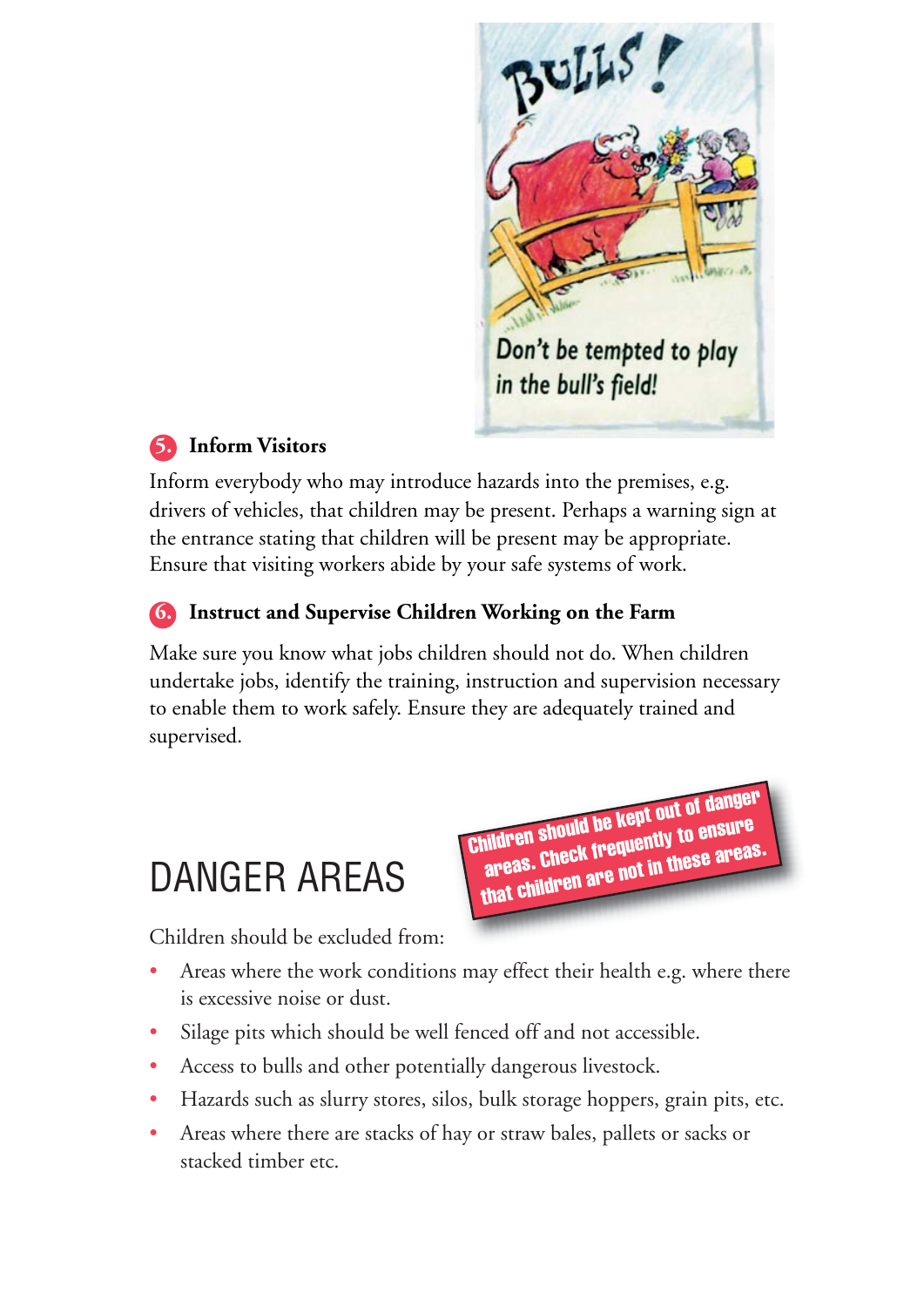

Children should be kept out of danger areas. Check frequently to ensure that children are not in these areas.

#### **5. Inform Visitors**

Inform everybody who may introduce hazards into the premises, e.g. drivers of vehicles, that children may be present. Perhaps a warning sign at the entrance stating that children will be present may be appropriate. Ensure that visiting workers abide by your safe systems of work.

#### **6. Instruct and Supervise Children Working on the Farm**

Make sure you know what jobs children should not do. When children undertake jobs, identify the training, instruction and supervision necessary to enable them to work safely. Ensure they are adequately trained and supervised.

## DANGER AREAS

Children should be excluded from:

- Areas where the work conditions may effect their health e.g. where there is excessive noise or dust.
- Silage pits which should be well fenced off and not accessible.
- Access to bulls and other potentially dangerous livestock.
- Hazards such as slurry stores, silos, bulk storage hoppers, grain pits, etc.
- Areas where there are stacks of hay or straw bales, pallets or sacks or stacked timber etc.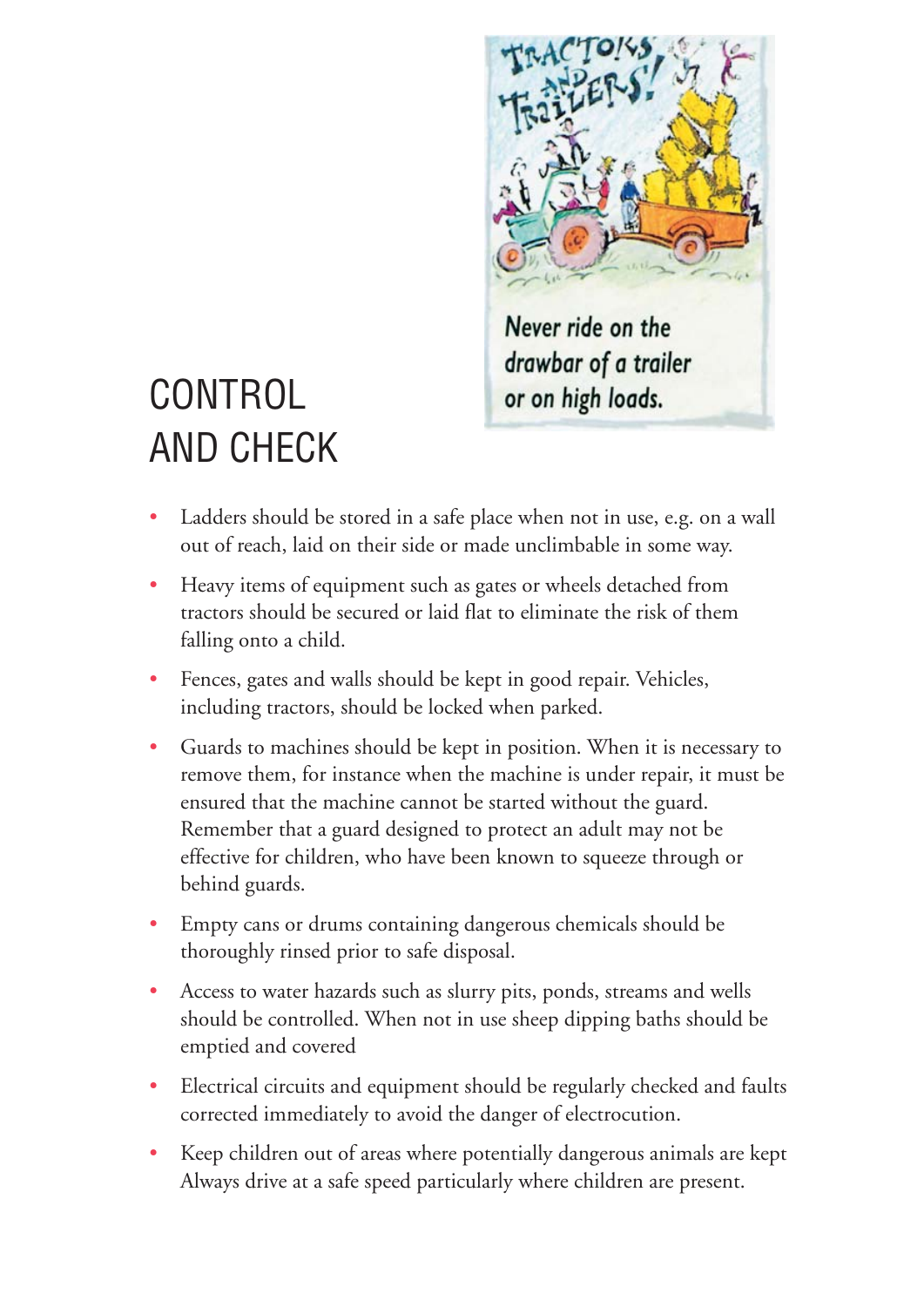

## CONTROL AND CHECK

- Ladders should be stored in a safe place when not in use, e.g. on a wall out of reach, laid on their side or made unclimbable in some way.
- Heavy items of equipment such as gates or wheels detached from tractors should be secured or laid flat to eliminate the risk of them falling onto a child.
- Fences, gates and walls should be kept in good repair. Vehicles, including tractors, should be locked when parked.
- Guards to machines should be kept in position. When it is necessary to remove them, for instance when the machine is under repair, it must be ensured that the machine cannot be started without the guard. Remember that a guard designed to protect an adult may not be effective for children, who have been known to squeeze through or behind guards.
- Empty cans or drums containing dangerous chemicals should be thoroughly rinsed prior to safe disposal.
- Access to water hazards such as slurry pits, ponds, streams and wells should be controlled. When not in use sheep dipping baths should be emptied and covered
- Electrical circuits and equipment should be regularly checked and faults corrected immediately to avoid the danger of electrocution.
- Keep children out of areas where potentially dangerous animals are kept Always drive at a safe speed particularly where children are present.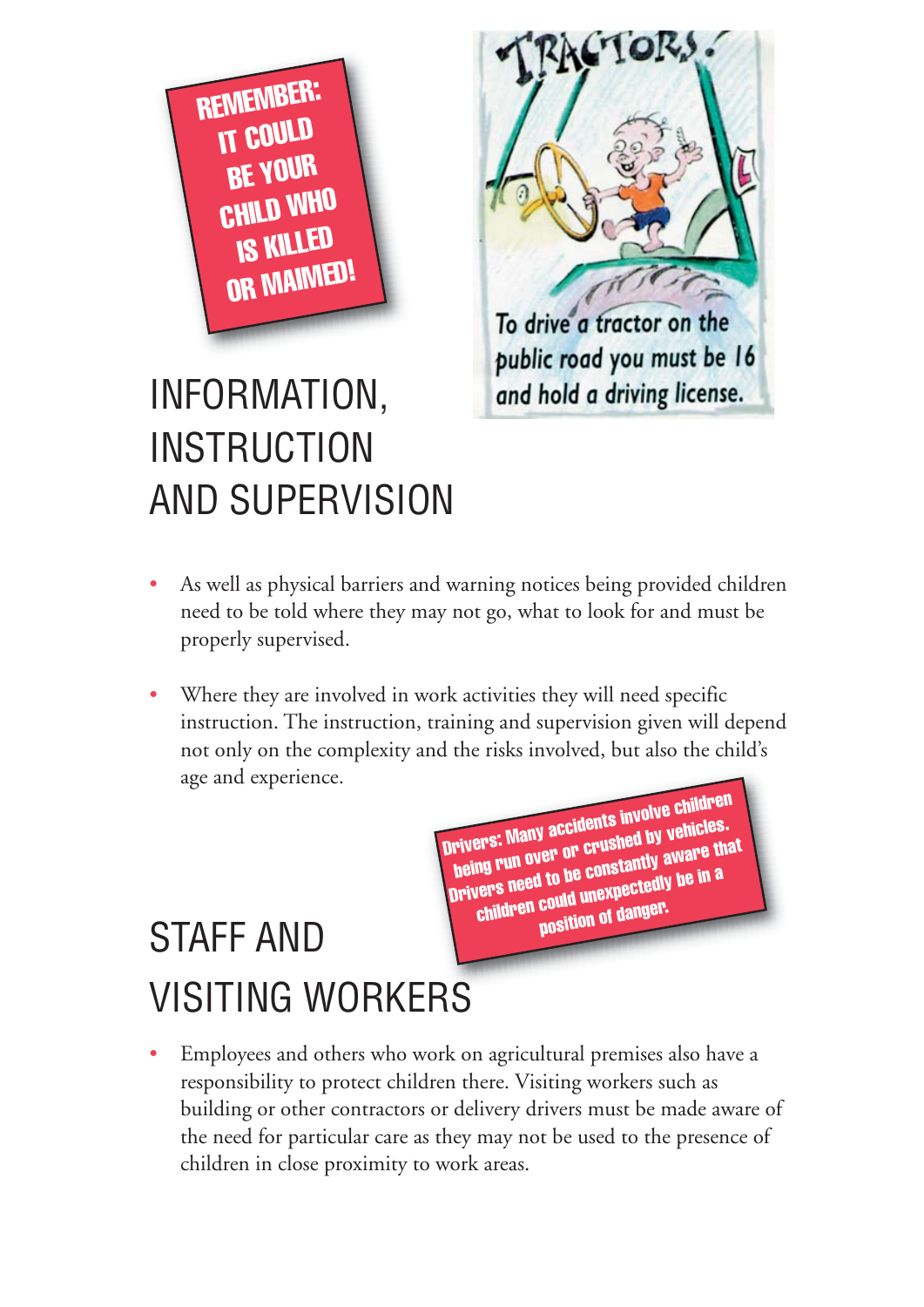

# To drive a tractor on the public road you must be 16 and hold a driving license.

**ACTORS** 

## INFORMATION, **INSTRUCTION** AND SUPERVISION

- As well as physical barriers and warning notices being provided children need to be told where they may not go, what to look for and must be properly supervised.
- Where they are involved in work activities they will need specific instruction. The instruction, training and supervision given will depend not only on the complexity and the risks involved, but also the child's age and experience.

Drivers: Many accidents involve children being run over or crushed by vehicles. Drivers need to be constantly aware that children could unexpectedly be in a position of danger

## STAFF AND VISITING WORKERS

• Employees and others who work on agricultural premises also have a responsibility to protect children there. Visiting workers such as building or other contractors or delivery drivers must be made aware of the need for particular care as they may not be used to the presence of children in close proximity to work areas.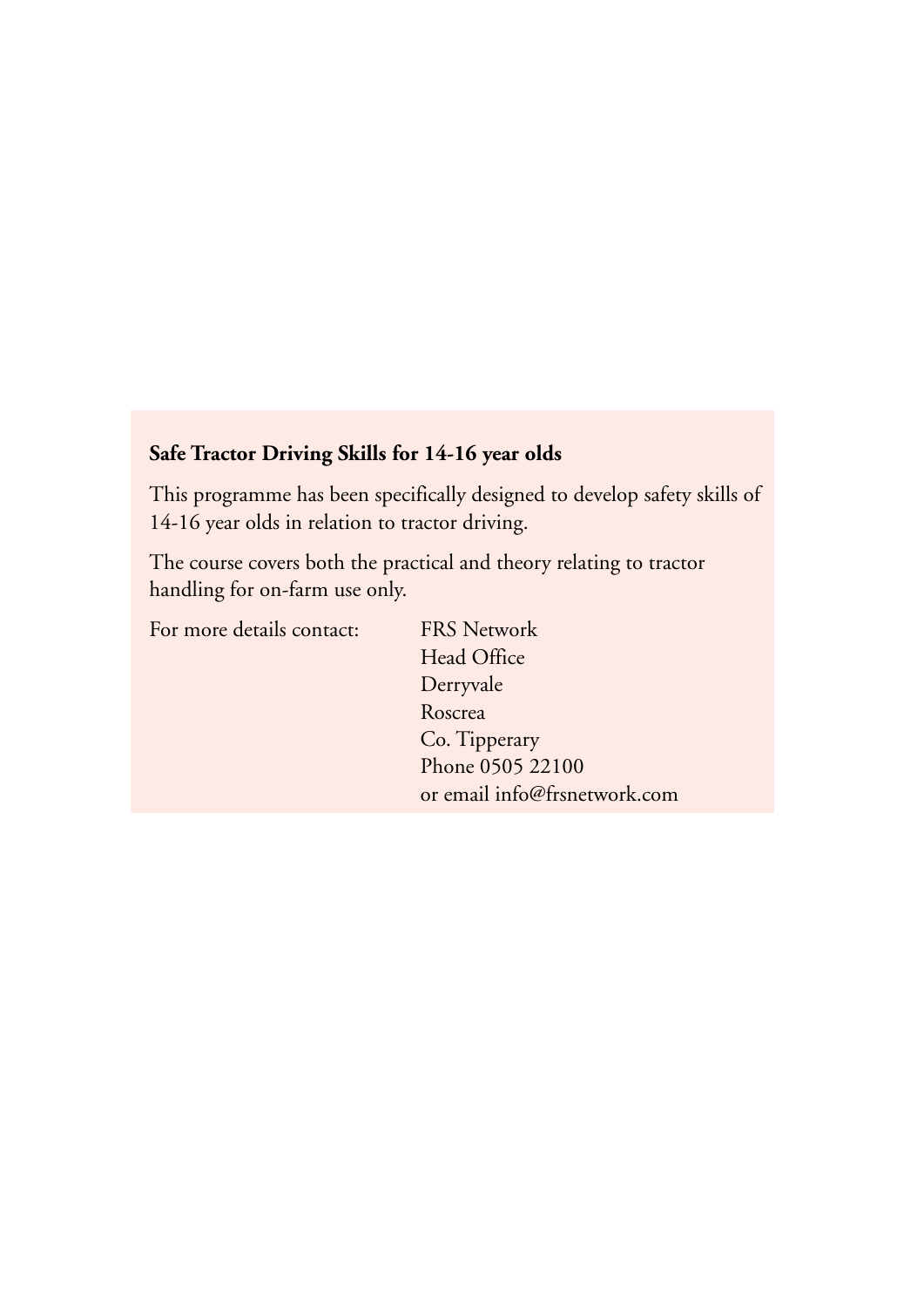#### **Safe Tractor Driving Skills for 14-16 year olds**

This programme has been specifically designed to develop safety skills of 14-16 year olds in relation to tractor driving.

The course covers both the practical and theory relating to tractor handling for on-farm use only.

For more details contact: FRS Network

Head Office Derryvale Roscrea Co. Tipperary Phone 0505 22100 or email info@frsnetwork.com